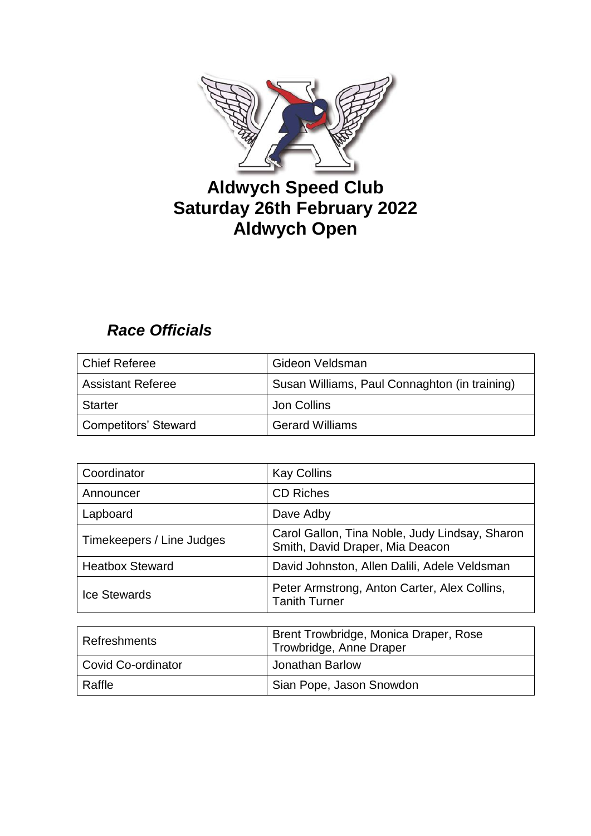

# **Aldwych Speed Club Saturday 26th February 2022 Aldwych Open**

## *Race Officials*

| Chief Referee            | Gideon Veldsman                               |
|--------------------------|-----------------------------------------------|
| <b>Assistant Referee</b> | Susan Williams, Paul Connaghton (in training) |
| l Starter                | Jon Collins                                   |
| Competitors' Steward     | <b>Gerard Williams</b>                        |

| Coordinator               | <b>Kay Collins</b>                                                                |
|---------------------------|-----------------------------------------------------------------------------------|
| Announcer                 | <b>CD Riches</b>                                                                  |
| Lapboard                  | Dave Adby                                                                         |
| Timekeepers / Line Judges | Carol Gallon, Tina Noble, Judy Lindsay, Sharon<br>Smith, David Draper, Mia Deacon |
| <b>Heatbox Steward</b>    | David Johnston, Allen Dalili, Adele Veldsman                                      |
| <b>Ice Stewards</b>       | Peter Armstrong, Anton Carter, Alex Collins,<br><b>Tanith Turner</b>              |

| Refreshments       | Brent Trowbridge, Monica Draper, Rose<br>Trowbridge, Anne Draper |
|--------------------|------------------------------------------------------------------|
| Covid Co-ordinator | Jonathan Barlow                                                  |
| Raffle             | Sian Pope, Jason Snowdon                                         |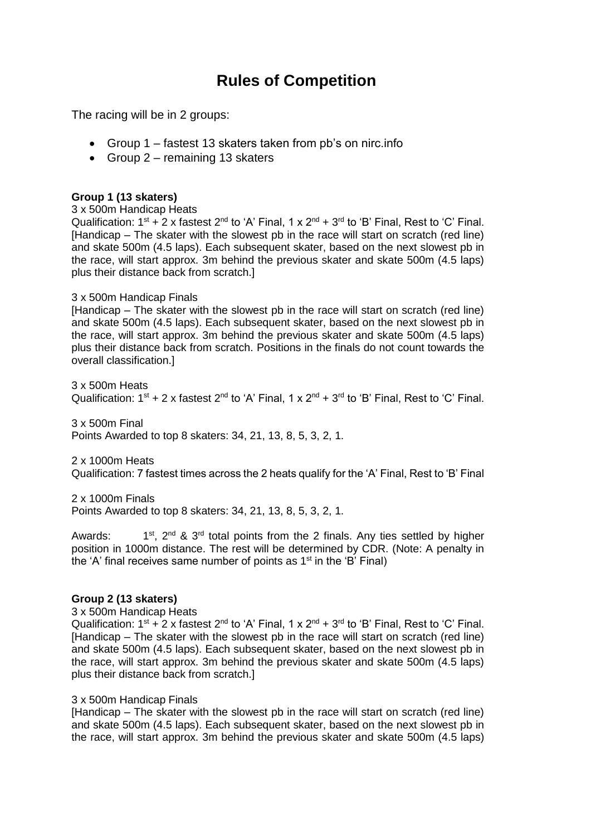## **Rules of Competition**

The racing will be in 2 groups:

- Group 1 fastest 13 skaters taken from pb's on nirc.info
- Group  $2$  remaining 13 skaters

### **Group 1 (13 skaters)**

3 x 500m Handicap Heats

Qualification:  $1^{st}$  + 2 x fastest  $2^{nd}$  to 'A' Final, 1 x  $2^{nd}$  +  $3^{rd}$  to 'B' Final, Rest to 'C' Final. [Handicap – The skater with the slowest pb in the race will start on scratch (red line) and skate 500m (4.5 laps). Each subsequent skater, based on the next slowest pb in the race, will start approx. 3m behind the previous skater and skate 500m (4.5 laps) plus their distance back from scratch.]

#### 3 x 500m Handicap Finals

[Handicap – The skater with the slowest pb in the race will start on scratch (red line) and skate 500m (4.5 laps). Each subsequent skater, based on the next slowest pb in the race, will start approx. 3m behind the previous skater and skate 500m (4.5 laps) plus their distance back from scratch. Positions in the finals do not count towards the overall classification.]

3 x 500m Heats Qualification:  $1^{st}$  + 2 x fastest  $2^{nd}$  to 'A' Final, 1 x  $2^{nd}$  +  $3^{rd}$  to 'B' Final, Rest to 'C' Final.

3 x 500m Final Points Awarded to top 8 skaters: 34, 21, 13, 8, 5, 3, 2, 1.

2 x 1000m Heats Qualification: 7 fastest times across the 2 heats qualify for the 'A' Final, Rest to 'B' Final

2 x 1000m Finals

Points Awarded to top 8 skaters: 34, 21, 13, 8, 5, 3, 2, 1.

Awards:  $1^{st}$ ,  $2^{nd}$  &  $3^{rd}$  total points from the 2 finals. Any ties settled by higher position in 1000m distance. The rest will be determined by CDR. (Note: A penalty in the 'A' final receives same number of points as  $1<sup>st</sup>$  in the 'B' Final)

### **Group 2 (13 skaters)**

3 x 500m Handicap Heats

Qualification:  $1^{st}$  + 2 x fastest  $2^{nd}$  to 'A' Final, 1 x  $2^{nd}$  +  $3^{rd}$  to 'B' Final, Rest to 'C' Final. [Handicap – The skater with the slowest pb in the race will start on scratch (red line) and skate 500m (4.5 laps). Each subsequent skater, based on the next slowest pb in the race, will start approx. 3m behind the previous skater and skate 500m (4.5 laps) plus their distance back from scratch.]

#### 3 x 500m Handicap Finals

[Handicap – The skater with the slowest pb in the race will start on scratch (red line) and skate 500m (4.5 laps). Each subsequent skater, based on the next slowest pb in the race, will start approx. 3m behind the previous skater and skate 500m (4.5 laps)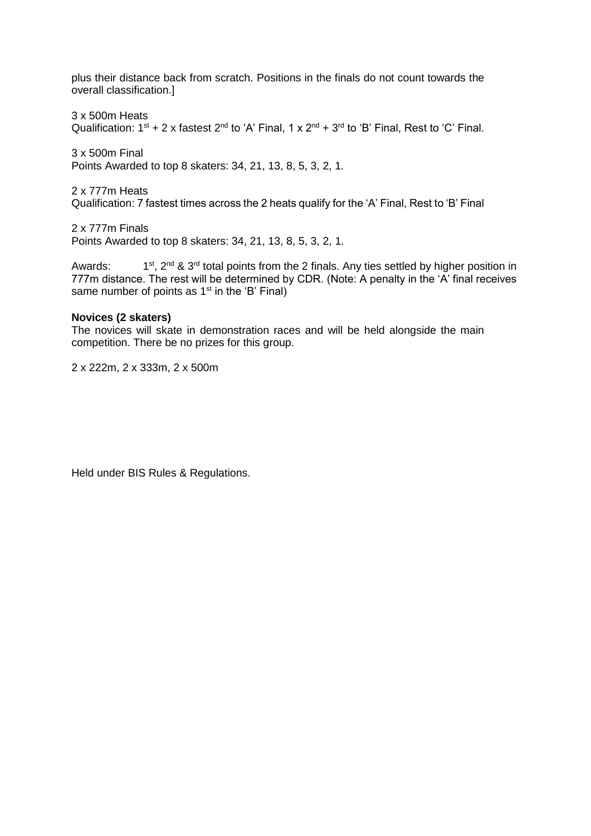plus their distance back from scratch. Positions in the finals do not count towards the overall classification.]

3 x 500m Heats Qualification:  $1^{st}$  + 2 x fastest  $2^{nd}$  to 'A' Final, 1 x  $2^{nd}$  +  $3^{rd}$  to 'B' Final, Rest to 'C' Final.

3 x 500m Final Points Awarded to top 8 skaters: 34, 21, 13, 8, 5, 3, 2, 1.

2 x 777m Heats Qualification: 7 fastest times across the 2 heats qualify for the 'A' Final, Rest to 'B' Final

2 x 777m Finals Points Awarded to top 8 skaters: 34, 21, 13, 8, 5, 3, 2, 1.

Awards:  $1<sup>st</sup>$ ,  $2<sup>nd</sup>$  &  $3<sup>rd</sup>$  total points from the 2 finals. Any ties settled by higher position in 777m distance. The rest will be determined by CDR. (Note: A penalty in the 'A' final receives same number of points as  $1<sup>st</sup>$  in the 'B' Final)

#### **Novices (2 skaters)**

The novices will skate in demonstration races and will be held alongside the main competition. There be no prizes for this group.

2 x 222m, 2 x 333m, 2 x 500m

Held under BIS Rules & Regulations.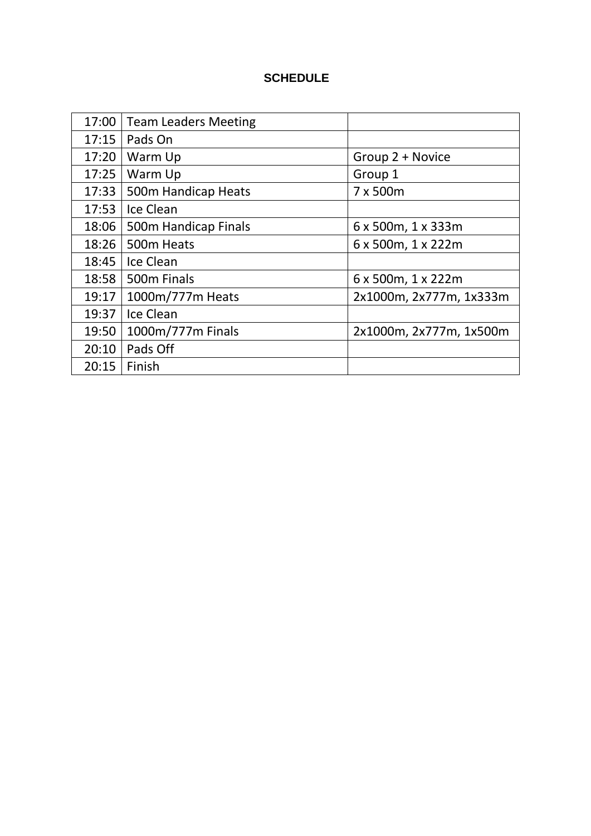## **SCHEDULE**

| 17:00 | Team Leaders Meeting |                         |
|-------|----------------------|-------------------------|
| 17:15 | Pads On              |                         |
| 17:20 | Warm Up              | Group 2 + Novice        |
| 17:25 | Warm Up              | Group 1                 |
| 17:33 | 500m Handicap Heats  | 7 x 500m                |
| 17:53 | Ice Clean            |                         |
| 18:06 | 500m Handicap Finals | 6 x 500m, 1 x 333m      |
| 18:26 | 500m Heats           | 6 x 500m, 1 x 222m      |
| 18:45 | Ice Clean            |                         |
| 18:58 | 500m Finals          | 6 x 500m, 1 x 222m      |
| 19:17 | 1000m/777m Heats     | 2x1000m, 2x777m, 1x333m |
| 19:37 | Ice Clean            |                         |
| 19:50 | 1000m/777m Finals    | 2x1000m, 2x777m, 1x500m |
| 20:10 | Pads Off             |                         |
| 20:15 | Finish               |                         |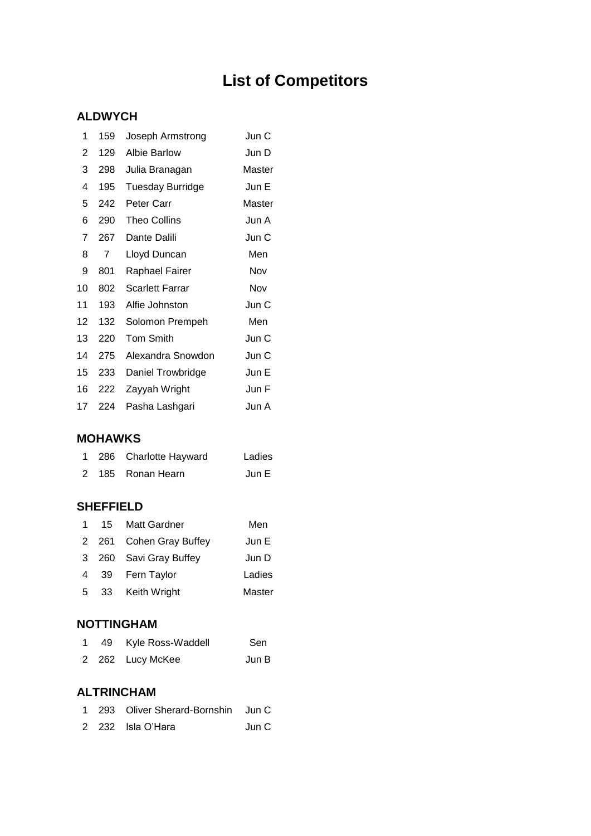# **List of Competitors**

### **ALDWYCH**

| 1  | 159 | Joseph Armstrong        | Jun C  |
|----|-----|-------------------------|--------|
| 2  | 129 | <b>Albie Barlow</b>     | Jun D  |
| 3  | 298 | Julia Branagan          | Master |
| 4  | 195 | <b>Tuesday Burridge</b> | Jun E  |
| 5  | 242 | Peter Carr              | Master |
| 6  | 290 | <b>Theo Collins</b>     | Jun A  |
| 7  | 267 | Dante Dalili            | Jun C  |
| 8  | 7   | Lloyd Duncan            | Men    |
| 9  | 801 | Raphael Fairer          | Nov    |
| 10 | 802 | <b>Scarlett Farrar</b>  | Nov    |
| 11 | 193 | Alfie Johnston          | Jun C  |
| 12 | 132 | Solomon Prempeh         | Men    |
| 13 | 220 | <b>Tom Smith</b>        | Jun C  |
| 14 | 275 | Alexandra Snowdon       | Jun C  |
| 15 | 233 | Daniel Trowbridge       | Jun E  |
| 16 | 222 | Zayyah Wright           | Jun F  |
| 17 | 224 | Pasha Lashgari          | Jun A  |
|    |     |                         |        |

### **MOHAWKS**

|  | 1 286 Charlotte Hayward | Ladies |
|--|-------------------------|--------|
|  | 2 185 Ronan Hearn       | Jun E  |

### **SHEFFIELD**

| $\mathbf{1}$   | 15  | <b>Matt Gardner</b>     | Men    |
|----------------|-----|-------------------------|--------|
|                |     | 2 261 Cohen Gray Buffey | Jun E  |
|                |     | 3 260 Savi Gray Buffey  | Jun D  |
|                |     | 4 39 Fern Taylor        | Ladies |
| 5 <sub>1</sub> | -33 | <b>Keith Wright</b>     | Master |

### **NOTTINGHAM**

|  | 1 49 Kyle Ross-Waddell | Sen   |
|--|------------------------|-------|
|  | 2 262 Lucy McKee       | Jun B |

## **ALTRINCHAM**

|  | 1 293 Oliver Sherard-Bornshin Jun C |       |
|--|-------------------------------------|-------|
|  | 2 232 Isla O'Hara                   | Jun C |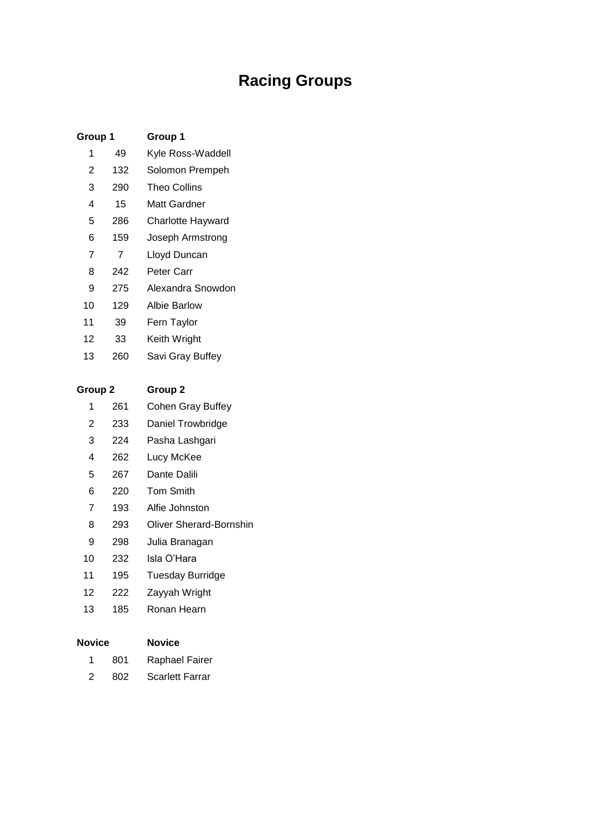# **Racing Groups**

| Group 1                |     | Group 1             |  |  |  |  |
|------------------------|-----|---------------------|--|--|--|--|
| 1                      | 49  | Kyle Ross-Waddell   |  |  |  |  |
| $\overline{2}$         | 132 | Solomon Prempeh     |  |  |  |  |
| 3                      | 290 | <b>Theo Collins</b> |  |  |  |  |
| 4                      | 15  | Matt Gardner        |  |  |  |  |
| 5                      | 286 | Charlotte Hayward   |  |  |  |  |
| 6                      | 159 | Joseph Armstrong    |  |  |  |  |
| $\overline{7}$         | 7   | Lloyd Duncan        |  |  |  |  |
| 8                      | 242 | Peter Carr          |  |  |  |  |
| 9                      | 275 | Alexandra Snowdon   |  |  |  |  |
| 10 <sup>1</sup><br>129 |     | <b>Albie Barlow</b> |  |  |  |  |
| 11                     | 39  | Fern Taylor         |  |  |  |  |
| 12                     | 33  | Keith Wright        |  |  |  |  |
| 13                     | 260 | Savi Gray Buffey    |  |  |  |  |
|                        |     |                     |  |  |  |  |
| Group <sub>2</sub>     |     | Group <sub>2</sub>  |  |  |  |  |
| 1                      | 261 | Cohen Gray Buffey   |  |  |  |  |
| $\overline{2}$         | 233 | Daniel Trowbridge   |  |  |  |  |
| 3                      | 224 | Pasha Lashgari      |  |  |  |  |
| 4                      | 262 | Lucy McKee          |  |  |  |  |
| 5                      | 267 | Dante Dalili        |  |  |  |  |
| 6                      | 220 | <b>Tom Smith</b>    |  |  |  |  |
| $\overline{7}$         | 193 | Alfie Johnston      |  |  |  |  |

- 293 Oliver Sherard-Bornshin
- 298 Julia Branagan
- 232 Isla O'Hara
- 195 Tuesday Burridge
- 222 Zayyah Wright
- 185 Ronan Hearn

| <b>Novice</b> |     | Novice                 |  |  |  |
|---------------|-----|------------------------|--|--|--|
| 1             | 801 | <b>Raphael Fairer</b>  |  |  |  |
| 2             | 802 | <b>Scarlett Farrar</b> |  |  |  |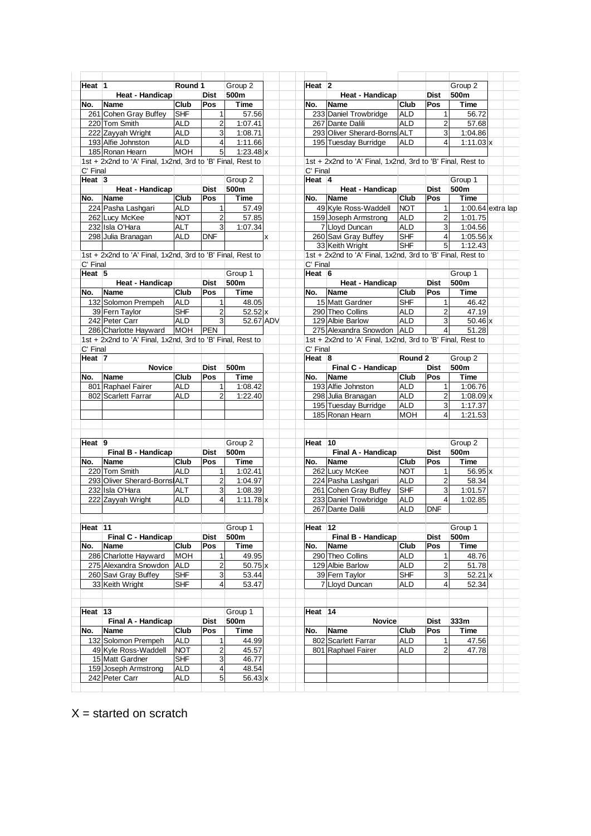| Heat 1            |                                                            | Round 1    |                | Group 2          |                         | Heat $ 2 $ |                                                            |            |                         | Group 2            |  |
|-------------------|------------------------------------------------------------|------------|----------------|------------------|-------------------------|------------|------------------------------------------------------------|------------|-------------------------|--------------------|--|
|                   | Heat - Handicap                                            |            | Dist           | 500m             |                         |            | Heat - Handicap                                            |            | Dist                    | 500m               |  |
|                   |                                                            |            |                |                  |                         |            |                                                            |            |                         |                    |  |
| No.               | Name                                                       | Club       | Pos            | <b>Time</b>      |                         | No.        | Name                                                       | Club       | Pos                     | Time               |  |
|                   | 261 Cohen Gray Buffey                                      | <b>SHF</b> | 1              | 57.56            |                         |            | 233 Daniel Trowbridge                                      | <b>ALD</b> | $\mathbf{1}$            | 56.72              |  |
|                   | 220 Tom Smith                                              | <b>ALD</b> | $\overline{2}$ | 1:07.41          |                         |            | 267 Dante Dalili                                           | <b>ALD</b> | $\overline{c}$          | 57.68              |  |
|                   | 222 Zayyah Wright                                          | <b>ALD</b> | 3              | 1:08.71          |                         |            | 293 Oliver Sherard-Borns ALT                               |            | 3                       | 1:04.86            |  |
|                   | 193 Alfie Johnston                                         | <b>ALD</b> | $\overline{4}$ | 1:11.66          |                         |            | 195 Tuesday Burridge                                       | ALD        | $\overline{4}$          | $1:11.03 \times$   |  |
|                   | 185 Ronan Hearn                                            | <b>MOH</b> | 5 <sup>1</sup> | $1:23.48 \times$ |                         |            |                                                            |            |                         |                    |  |
|                   | 1st + 2x2nd to 'A' Final, 1x2nd, 3rd to 'B' Final, Rest to |            |                |                  |                         |            | 1st + 2x2nd to 'A' Final, 1x2nd, 3rd to 'B' Final, Rest to |            |                         |                    |  |
|                   |                                                            |            |                |                  |                         |            |                                                            |            |                         |                    |  |
| C' Final          |                                                            |            |                |                  |                         | C' Final   |                                                            |            |                         |                    |  |
| Heat $ 3 $        |                                                            |            |                | Group 2          |                         | Heat 4     |                                                            |            |                         | Group 1            |  |
|                   | <b>Heat - Handicap</b>                                     |            | <b>Dist</b>    | 500m             |                         |            | Heat - Handicap                                            |            | <b>Dist</b>             | 500m               |  |
| No.               | Name                                                       | Club       | Pos            | <b>Time</b>      |                         | No.        | <b>Name</b>                                                | Club       | Pos                     | <b>Time</b>        |  |
|                   | 224 Pasha Lashgari                                         | <b>ALD</b> | $\mathbf{1}$   | 57.49            |                         |            | 49 Kyle Ross-Waddell                                       | <b>NOT</b> | $\mathbf{1}$            | 1:00.64 extra lap  |  |
|                   | 262 Lucy McKee                                             | <b>NOT</b> | $\overline{2}$ | 57.85            |                         |            | 159 Joseph Armstrong                                       | <b>ALD</b> | $\overline{c}$          | 1:01.75            |  |
|                   | 232 Isla O'Hara                                            | <b>ALT</b> | 3              | 1:07.34          |                         |            | 7 Lloyd Duncan                                             | <b>ALD</b> | 3                       | 1:04.56            |  |
|                   | 298 Julia Branagan                                         | <b>ALD</b> | <b>DNF</b>     |                  | $\overline{\mathsf{x}}$ |            | 260 Savi Gray Buffey                                       | SHF        | $\overline{4}$          | $1:05.56 \times$   |  |
|                   |                                                            |            |                |                  |                         |            |                                                            |            |                         |                    |  |
|                   |                                                            |            |                |                  |                         |            | 33 Keith Wright                                            | <b>SHF</b> | 5                       | 1:12.43            |  |
|                   | 1st + 2x2nd to 'A' Final, 1x2nd, 3rd to 'B' Final, Rest to |            |                |                  |                         |            | 1st + 2x2nd to 'A' Final, 1x2nd, 3rd to 'B' Final, Rest to |            |                         |                    |  |
| C' Final          |                                                            |            |                |                  |                         | C' Final   |                                                            |            |                         |                    |  |
| Heat $5$          |                                                            |            |                | Group 1          |                         | Heat $6$   |                                                            |            |                         | Group 1            |  |
|                   | Heat - Handicap                                            |            | <b>Dist</b>    | 500m             |                         |            | Heat - Handicap                                            |            | Dist                    | 500m               |  |
| No.               | <b>Name</b>                                                | Club       | Pos            | <b>Time</b>      |                         | No.        | <b>Name</b>                                                | Club       | Pos                     | <b>Time</b>        |  |
|                   | 132 Solomon Prempeh                                        | <b>ALD</b> | $\mathbf{1}$   | 48.05            |                         |            | 15 Matt Gardner                                            | SHF        | $\mathbf{1}$            | 46.42              |  |
|                   | 39 Fern Taylor                                             | <b>SHF</b> | $\overline{2}$ | 52.52 x          |                         |            | 290 Theo Collins                                           | <b>ALD</b> | $\overline{2}$          | 47.19              |  |
|                   | 242 Peter Carr                                             | <b>ALD</b> | 3              | 52.67 ADV        |                         |            | 129 Albie Barlow                                           | ALD        | 3                       | 50.46 x            |  |
|                   |                                                            |            |                |                  |                         |            |                                                            |            |                         |                    |  |
|                   | 286 Charlotte Hayward                                      | <b>MOH</b> | <b>PEN</b>     |                  |                         |            | 275 Alexandra Snowdon                                      | <b>ALD</b> | $\overline{4}$          | 51.28              |  |
|                   | 1st + 2x2nd to 'A' Final, 1x2nd, 3rd to 'B' Final, Rest to |            |                |                  |                         |            | 1st + 2x2nd to 'A' Final, 1x2nd, 3rd to 'B' Final, Rest to |            |                         |                    |  |
| C' Final          |                                                            |            |                |                  |                         | C' Final   |                                                            |            |                         |                    |  |
| Heat <sub>7</sub> |                                                            |            |                |                  |                         | Heat $ 8 $ |                                                            | Round 2    |                         | Group 2            |  |
|                   | <b>Novice</b>                                              |            | <b>Dist</b>    | 500m             |                         |            | Final C - Handicap                                         |            | Dist                    | 500m               |  |
| No.               | <b>Name</b>                                                | Club       | Pos            | <b>Time</b>      |                         | No.        | <b>Name</b>                                                | Club       | Pos                     | <b>Time</b>        |  |
|                   | 801 Raphael Fairer                                         | <b>ALD</b> | 1              | 1:08.42          |                         |            | 193 Alfie Johnston                                         | <b>ALD</b> | $\mathbf{1}$            | 1:06.76            |  |
|                   | 802 Scarlett Farrar                                        | <b>ALD</b> | $\overline{2}$ | 1:22.40          |                         |            | 298 Julia Branagan                                         | <b>ALD</b> | $\overline{2}$          | $1:08.09 \times$   |  |
|                   |                                                            |            |                |                  |                         |            | 195 Tuesday Burridge                                       | <b>ALD</b> | 3                       | 1:17.37            |  |
|                   |                                                            |            |                |                  |                         |            | 185 Ronan Hearn                                            | <b>MOH</b> | $\overline{4}$          |                    |  |
|                   |                                                            |            |                |                  |                         |            |                                                            |            |                         | 1:21.53            |  |
|                   |                                                            |            |                |                  |                         |            |                                                            |            |                         |                    |  |
|                   |                                                            |            |                |                  |                         |            |                                                            |            |                         |                    |  |
| Heat $ 9 $        |                                                            |            |                | Group 2          |                         | Heat 10    |                                                            |            |                         | Group <sub>2</sub> |  |
|                   | Final B - Handicap                                         |            | <b>Dist</b>    | 500m             |                         |            | Final A - Handicap                                         |            | <b>Dist</b>             | 500m               |  |
| No.               | Name                                                       | Club       | Pos            | Time             |                         | No.        | Name                                                       | Club       | Pos                     | <b>Time</b>        |  |
|                   | 220 Tom Smith                                              | <b>ALD</b> | $\mathbf{1}$   | 1:02.41          |                         |            | 262 Lucy McKee                                             | <b>NOT</b> | 1                       | 56.95 x            |  |
|                   | 293 Oliver Sherard-Borns ALT                               |            | $\overline{2}$ | 1:04.97          |                         |            | 224 Pasha Lashgari                                         | <b>ALD</b> | $\overline{c}$          | 58.34              |  |
|                   | 232 Isla O'Hara                                            | <b>ALT</b> | 3              | 1:08.39          |                         |            | 261 Cohen Gray Buffey                                      | SHF        | 3                       | 1:01.57            |  |
|                   |                                                            | <b>ALD</b> | 4              |                  |                         |            |                                                            |            |                         |                    |  |
|                   | 222 Zayyah Wright                                          |            |                | $1:11.78 \times$ |                         |            | 233 Daniel Trowbridge                                      | <b>ALD</b> | 4                       | 1:02.85            |  |
|                   |                                                            |            |                |                  |                         |            | 267 Dante Dalili                                           | <b>ALD</b> | <b>DNF</b>              |                    |  |
|                   |                                                            |            |                |                  |                         |            |                                                            |            |                         |                    |  |
| Heat 11           |                                                            |            |                | Group 1          |                         | Heat 12    |                                                            |            |                         | Group 1            |  |
|                   | Final C - Handicap                                         |            | <b>Dist</b>    | 500m             |                         |            | Final B - Handicap                                         |            | Dist                    | 500m               |  |
| No.               | Name                                                       | Club       | Pos            | Time             |                         | No.        | <b>Name</b>                                                | Club       | Pos                     | Time               |  |
|                   | 286 Charlotte Hayward                                      | <b>MOH</b> | 1              | 49.95            |                         |            | 290 Theo Collins                                           | <b>ALD</b> | 1                       | 48.76              |  |
|                   | 275 Alexandra Snowdon                                      | <b>ALD</b> | 2              | 50.75 x          |                         |            | 129 Albie Barlow                                           | ALD        | $\overline{\mathbf{c}}$ | 51.78              |  |
|                   | 260 Savi Gray Buffey                                       | <b>SHF</b> | 3              | 53.44            |                         |            | 39 Fern Taylor                                             | <b>SHF</b> | 3                       | 52.21 x            |  |
|                   | 33 Keith Wright                                            | SHF        | 4              | 53.47            |                         |            | 7 Lloyd Duncan                                             | ALD        | 4                       | 52.34              |  |
|                   |                                                            |            |                |                  |                         |            |                                                            |            |                         |                    |  |
|                   |                                                            |            |                |                  |                         |            |                                                            |            |                         |                    |  |
|                   |                                                            |            |                |                  |                         |            |                                                            |            |                         |                    |  |
| Heat 13           |                                                            |            |                | Group 1          |                         | Heat 14    |                                                            |            |                         |                    |  |
|                   | Final A - Handicap                                         |            | Dist           | 500m             |                         |            | <b>Novice</b>                                              |            | Dist                    | 333m               |  |
| No.               | <b>Name</b>                                                | Club       | Pos            | Time             |                         | No.        | Name                                                       | Club       | Pos                     | Time               |  |
|                   | 132 Solomon Prempeh                                        | <b>ALD</b> | 1              | 44.99            |                         |            | 802 Scarlett Farrar                                        | <b>ALD</b> | 1                       | 47.56              |  |
|                   | 49 Kyle Ross-Waddell                                       | <b>NOT</b> | 2              | 45.57            |                         |            | 801 Raphael Fairer                                         | ALD        | $\overline{2}$          | 47.78              |  |
|                   | 15 Matt Gardner                                            | <b>SHF</b> | 3              | 46.77            |                         |            |                                                            |            |                         |                    |  |
|                   | 159 Joseph Armstrong                                       | <b>ALD</b> | 4              | 48.54            |                         |            |                                                            |            |                         |                    |  |
|                   | 242 Peter Carr                                             | <b>ALD</b> | 5              | $56.43 \times$   |                         |            |                                                            |            |                         |                    |  |
|                   |                                                            |            |                |                  |                         |            |                                                            |            |                         |                    |  |
|                   |                                                            |            |                |                  |                         |            |                                                            |            |                         |                    |  |

 $X =$  started on scratch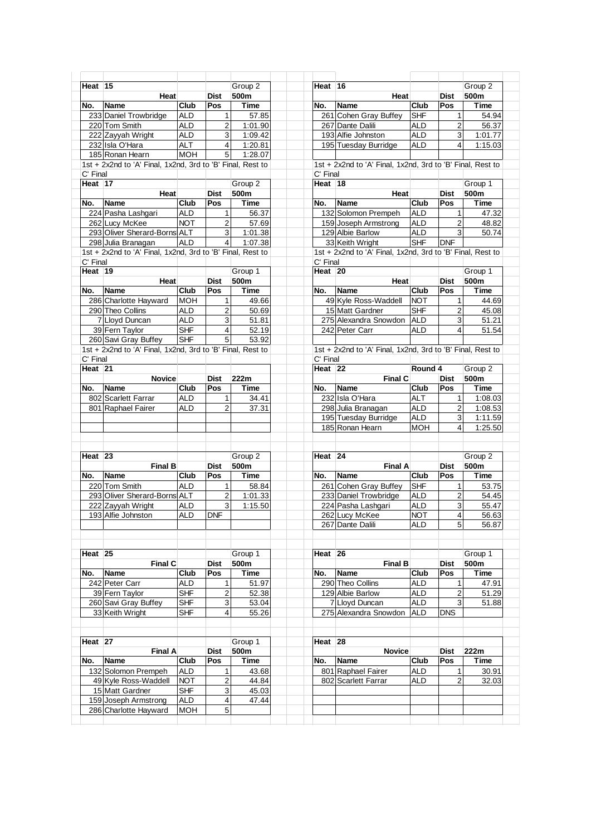| Heat 15                                 |                                                            |                          |                         | Group 2     | Heat 16            |                                                            |            |                         | Group 2                              |
|-----------------------------------------|------------------------------------------------------------|--------------------------|-------------------------|-------------|--------------------|------------------------------------------------------------|------------|-------------------------|--------------------------------------|
|                                         | <b>Heat</b>                                                |                          | <b>Dist</b>             | 500m        |                    | Heat                                                       |            | Dist                    | 500m                                 |
| No.                                     | <b>Name</b>                                                | <b>Club</b>              | Pos                     | Time        | No.                | Name                                                       | Club       | Pos                     | <b>Time</b>                          |
|                                         | 233 Daniel Trowbridge                                      | <b>ALD</b>               | 1                       | 57.85       |                    | 261 Cohen Gray Buffey                                      | <b>SHF</b> | 1                       | 54.94                                |
|                                         | 220 Tom Smith                                              | ALD                      | 2                       | 1:01.90     |                    | 267 Dante Dalili                                           | <b>ALD</b> | $\overline{2}$          | 56.37                                |
|                                         | 222 Zayyah Wright                                          | <b>ALD</b>               | 3                       | 1:09.42     |                    | 193 Alfie Johnston                                         | <b>ALD</b> | 3                       | 1:01.77                              |
|                                         | 232 Isla O'Hara                                            | ALT                      | 4                       | 1:20.81     |                    | 195 Tuesday Burridge                                       | <b>ALD</b> | 4                       | 1:15.03                              |
|                                         | 185 Ronan Hearn                                            | <b>MOH</b>               | $\mathbf 5$             | 1:28.07     |                    |                                                            |            |                         |                                      |
|                                         |                                                            |                          |                         |             |                    |                                                            |            |                         |                                      |
|                                         | 1st + 2x2nd to 'A' Final, 1x2nd, 3rd to 'B' Final, Rest to |                          |                         |             |                    | 1st + 2x2nd to 'A' Final, 1x2nd, 3rd to 'B' Final, Rest to |            |                         |                                      |
| C' Final                                |                                                            |                          |                         |             | C' Final           |                                                            |            |                         |                                      |
| Heat $ 17 $                             |                                                            |                          |                         | Group 2     | Heat 18            |                                                            |            |                         | Group 1                              |
|                                         | Heat                                                       |                          | <b>Dist</b>             | 500m        |                    | Heat                                                       |            | <b>Dist</b>             | 500m                                 |
| No.                                     | Name                                                       | Club                     | Pos                     | Time        | No.                | Name                                                       | Club       | Pos                     | Time                                 |
|                                         | 224 Pasha Lashgari                                         | <b>ALD</b>               | 1                       | 56.37       |                    | 132 Solomon Prempeh                                        | <b>ALD</b> | 1                       | 47.32                                |
|                                         | 262 Lucy McKee                                             | <b>NOT</b>               | $\overline{2}$          | 57.69       |                    | 159 Joseph Armstrong                                       | <b>ALD</b> | $\overline{2}$          | 48.82                                |
|                                         | 293 Oliver Sherard-Borns ALT                               |                          | 3                       | 1:01.38     |                    | 129 Albie Barlow                                           | <b>ALD</b> | 3                       | 50.74                                |
|                                         | 298 Julia Branagan                                         | <b>ALD</b>               | $\overline{4}$          | 1:07.38     |                    | 33 Keith Wright                                            | <b>SHF</b> | <b>DNF</b>              |                                      |
|                                         | 1st + 2x2nd to 'A' Final, 1x2nd, 3rd to 'B' Final, Rest to |                          |                         |             |                    | 1st + 2x2nd to 'A' Final, 1x2nd, 3rd to 'B' Final, Rest to |            |                         |                                      |
| C' Final                                |                                                            |                          |                         |             | C' Final           |                                                            |            |                         |                                      |
| Heat $ 19$                              |                                                            |                          |                         | Group 1     | Heat 20            |                                                            |            |                         | Group 1                              |
|                                         |                                                            |                          | <b>Dist</b>             | 500m        |                    |                                                            |            | <b>Dist</b>             | 500m                                 |
|                                         | Heat                                                       |                          |                         |             |                    | Heat                                                       |            |                         |                                      |
| No.                                     | <b>Name</b>                                                | Club                     | Pos                     | <b>Time</b> | No.                | Name                                                       | Club       | Pos                     | <b>Time</b>                          |
|                                         | 286 Charlotte Hayward                                      | <b>MOH</b>               | 1                       | 49.66       |                    | 49 Kyle Ross-Waddell                                       | <b>NOT</b> | $\mathbf{1}$            | 44.69                                |
|                                         | 290 Theo Collins                                           | ALD                      | 2                       | 50.69       |                    | 15 Matt Gardner                                            | <b>SHF</b> | 2                       | 45.08                                |
|                                         | 7 Lloyd Duncan                                             | <b>ALD</b>               | 3                       | 51.81       |                    | 275 Alexandra Snowdon ALD                                  |            | 3                       | 51.21                                |
|                                         | 39 Fern Taylor                                             | <b>SHF</b>               | 4                       | 52.19       |                    | 242 Peter Carr                                             | <b>ALD</b> | $\overline{\mathbf{4}}$ | 51.54                                |
|                                         | 260 Savi Gray Buffey                                       | <b>SHF</b>               | 5                       | 53.92       |                    |                                                            |            |                         |                                      |
|                                         | 1st + 2x2nd to 'A' Final, 1x2nd, 3rd to 'B' Final, Rest to |                          |                         |             |                    | 1st + 2x2nd to 'A' Final, 1x2nd, 3rd to 'B' Final, Rest to |            |                         |                                      |
| C' Final                                |                                                            |                          |                         |             | C' Final           |                                                            |            |                         |                                      |
| Heat 21                                 |                                                            |                          |                         |             | Heat 22            |                                                            | Round 4    |                         | Group 2                              |
|                                         | <b>Novice</b>                                              |                          | <b>Dist</b>             | 222m        |                    | <b>Final C</b>                                             |            | <b>Dist</b>             | 500m                                 |
|                                         |                                                            |                          | Pos                     |             |                    |                                                            |            | Pos                     |                                      |
| No.                                     | Name                                                       | Club                     |                         | Time        | No.                | <b>Name</b>                                                | Club       |                         | Time                                 |
|                                         | 802 Scarlett Farrar                                        | ALD                      | 1                       | 34.41       |                    | 232 Isla O'Hara                                            | <b>ALT</b> | 1                       | 1:08.03                              |
|                                         | 801 Raphael Fairer                                         | ALD                      | $\overline{2}$          | 37.31       |                    | 298 Julia Branagan                                         | <b>ALD</b> | $\overline{2}$          | 1:08.53                              |
|                                         |                                                            |                          |                         |             |                    | 195 Tuesday Burridge                                       | <b>ALD</b> | 3                       | 1:11.59                              |
|                                         |                                                            |                          |                         |             |                    | 185 Ronan Hearn                                            | <b>MOH</b> | 4                       | 1:25.50                              |
|                                         |                                                            |                          |                         |             |                    |                                                            |            |                         |                                      |
|                                         |                                                            |                          |                         |             |                    |                                                            |            |                         |                                      |
| Heat 23                                 |                                                            |                          |                         | Group 2     | Heat <sub>24</sub> |                                                            |            |                         |                                      |
|                                         | <b>Final B</b>                                             |                          |                         |             |                    |                                                            |            |                         | Group <sub>2</sub>                   |
|                                         |                                                            |                          |                         |             |                    |                                                            |            |                         |                                      |
|                                         | <b>Name</b>                                                |                          | Dist                    | 500m        |                    | <b>Final A</b>                                             |            | Dist                    | 500m                                 |
|                                         |                                                            | Club                     | Pos                     | Time        | No.                | Name                                                       | Club       | Pos                     | Time                                 |
|                                         | 220 Tom Smith                                              | ALD                      | $\mathbf{1}$            | 58.84       |                    | 261 Cohen Gray Buffey                                      | <b>SHF</b> | 1                       | 53.75                                |
|                                         | 293 Oliver Sherard-Borns ALT                               |                          | $\overline{2}$          | 1:01.33     |                    | 233 Daniel Trowbridge                                      | <b>ALD</b> | $\overline{2}$          |                                      |
|                                         | 222 Zayyah Wright                                          | ALD                      | 3                       | 1:15.50     |                    | 224 Pasha Lashgari                                         | ALD        | 3                       |                                      |
|                                         | 193 Alfie Johnston                                         | <b>ALD</b>               | <b>DNF</b>              |             |                    | 262 Lucy McKee                                             | <b>NOT</b> | 4                       | 54.45<br>55.47<br>$56.\overline{63}$ |
|                                         |                                                            |                          |                         |             |                    | 267 Dante Dalili                                           | ALD        | 5                       | 56.87                                |
|                                         |                                                            |                          |                         |             |                    |                                                            |            |                         |                                      |
|                                         |                                                            |                          |                         |             |                    |                                                            |            |                         |                                      |
|                                         |                                                            |                          |                         | Group 1     | Heat 26            |                                                            |            |                         | Group 1                              |
|                                         | Final C                                                    |                          | <b>Dist</b>             | 500m        |                    | <b>Final B</b>                                             |            | <b>Dist</b>             | 500m                                 |
|                                         | Name                                                       | Club                     | Pos                     | Time        | No.                | <b>Name</b>                                                | Club       | Pos                     | Time                                 |
|                                         |                                                            | <b>ALD</b>               |                         | 51.97       |                    |                                                            | <b>ALD</b> | 1                       |                                      |
|                                         | 242 Peter Carr                                             |                          |                         |             |                    | 290 Theo Collins                                           |            |                         |                                      |
|                                         | 39 Fern Taylor                                             | <b>SHF</b>               | 2                       | 52.38       |                    | 129 Albie Barlow                                           | <b>ALD</b> | $\overline{2}$          |                                      |
|                                         | 260 Savi Gray Buffey                                       | <b>SHF</b>               | 3                       | 53.04       |                    | 7 Lloyd Duncan                                             | <b>ALD</b> | 3                       | 47.91<br>51.29<br>51.88              |
|                                         | 33 Keith Wright                                            | <b>SHF</b>               | 4                       | 55.26       |                    | 275 Alexandra Snowdon                                      | <b>ALD</b> | <b>DNS</b>              |                                      |
|                                         |                                                            |                          |                         |             |                    |                                                            |            |                         |                                      |
|                                         |                                                            |                          |                         |             |                    |                                                            |            |                         |                                      |
|                                         |                                                            |                          |                         | Group 1     | Heat 28            |                                                            |            |                         |                                      |
|                                         | <b>Final A</b>                                             |                          | <b>Dist</b>             | 500m        |                    | <b>Novice</b>                                              |            | <b>Dist</b>             | 222m                                 |
|                                         | <b>Name</b>                                                | <b>Club</b>              | Pos                     | Time        | No.                | <b>Name</b>                                                | Club       | Pos                     | <b>Time</b>                          |
|                                         |                                                            |                          | 1                       |             |                    |                                                            |            | 1                       |                                      |
|                                         | 132 Solomon Prempeh                                        | <b>ALD</b>               |                         | 43.68       |                    | 801 Raphael Fairer                                         | <b>ALD</b> |                         |                                      |
|                                         | 49 Kyle Ross-Waddell                                       | <b>NOT</b>               | $\overline{\mathbf{c}}$ | 44.84       |                    | 802 Scarlett Farrar                                        | <b>ALD</b> | $\overline{2}$          | 30.91<br>32.03                       |
|                                         | 15 Matt Gardner                                            | <b>SHF</b>               | 3                       | 45.03       |                    |                                                            |            |                         |                                      |
| No.<br>Heat 25<br>No.<br>Heat 27<br>No. | 159 Joseph Armstrong<br>286 Charlotte Hayward              | <b>ALD</b><br><b>MOH</b> | 4<br>5                  | 47.44       |                    |                                                            |            |                         |                                      |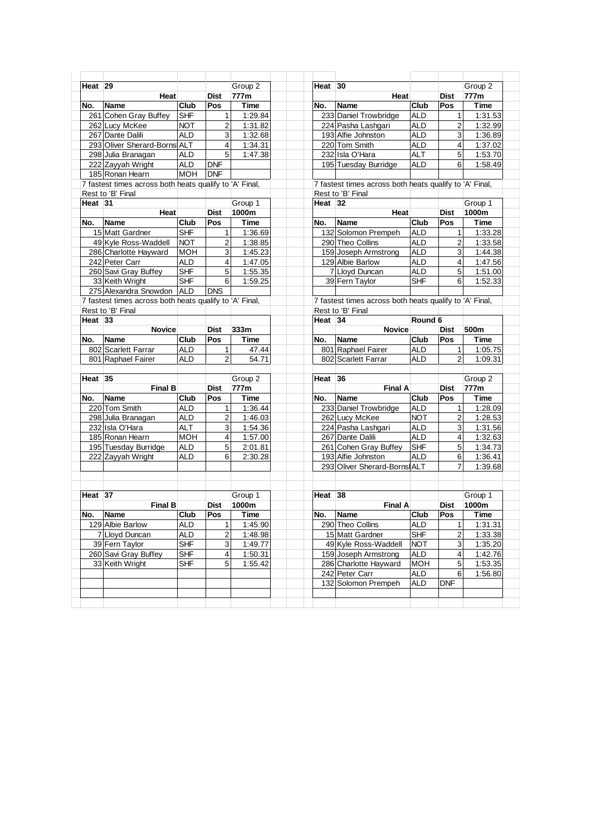|           |                                                         |            |                     | Group 2            | Heat 30            |                                                         |            |                         | Group 2                                                                   |
|-----------|---------------------------------------------------------|------------|---------------------|--------------------|--------------------|---------------------------------------------------------|------------|-------------------------|---------------------------------------------------------------------------|
| Heat 29   | <b>Heat</b>                                             |            |                     | 777m               |                    |                                                         |            | <b>Dist</b>             | 777m                                                                      |
| No.       | <b>Name</b>                                             | Club       | <b>Dist</b><br>Pos  | <b>Time</b>        | No.                | Heat<br><b>Name</b>                                     | Club       | Pos                     | <b>Time</b>                                                               |
|           |                                                         |            |                     |                    |                    |                                                         |            |                         |                                                                           |
|           | 261 Cohen Gray Buffey                                   | <b>SHF</b> | 1                   | 1:29.84            |                    | 233 Daniel Trowbridge                                   | <b>ALD</b> | 1                       | 1:31.53                                                                   |
|           | 262 Lucy McKee                                          | <b>NOT</b> | 2                   | 1:31.82            |                    | 224 Pasha Lashgari                                      | <b>ALD</b> | $\overline{2}$          | 1:32.99                                                                   |
|           | 267 Dante Dalili<br>293 Oliver Sherard-Borns ALT        | <b>ALD</b> | 3<br>$\overline{4}$ | 1:32.68            |                    | 193 Alfie Johnston                                      | ALD        | $\mathbf{3}$            | 1:36.89                                                                   |
|           |                                                         |            |                     | 1:34.31            |                    | 220 Tom Smith                                           | <b>ALD</b> | $\overline{4}$          | 1:37.02                                                                   |
|           | 298 Julia Branagan                                      | <b>ALD</b> | $\overline{5}$      | 1:47.38            |                    | 232 Isla O'Hara                                         | <b>ALT</b> | $\sqrt{5}$              | 1:53.70                                                                   |
|           | 222 Zayyah Wright                                       | <b>ALD</b> | <b>DNF</b>          |                    |                    | 195 Tuesday Burridge                                    | <b>ALD</b> | 6                       | 1:58.49                                                                   |
|           | 185 Ronan Hearn                                         | <b>MOH</b> | <b>DNF</b>          |                    |                    |                                                         |            |                         |                                                                           |
|           | 7 fastest times across both heats qualify to 'A' Final, |            |                     |                    |                    | 7 fastest times across both heats qualify to 'A' Final, |            |                         |                                                                           |
| Heat $31$ | Rest to 'B' Final                                       |            |                     | Group 1            | Heat <sub>32</sub> | Rest to 'B' Final                                       |            |                         | Group 1                                                                   |
|           | Heat                                                    |            | <b>Dist</b>         | 1000m              |                    | Heat                                                    |            | <b>Dist</b>             | 1000m                                                                     |
| No.       | <b>Name</b>                                             | Club       | Pos                 | Time               | No.                | <b>Name</b>                                             | Club       | Pos                     | Time                                                                      |
|           | 15 Matt Gardner                                         | <b>SHF</b> | 1                   | 1:36.69            |                    | 132 Solomon Prempeh                                     | <b>ALD</b> | 1                       | 1:33.28                                                                   |
|           | 49 Kyle Ross-Waddell                                    | <b>NOT</b> | 2                   | 1:38.85            |                    | 290 Theo Collins                                        | <b>ALD</b> | $\overline{a}$          | 1:33.58                                                                   |
|           | 286 Charlotte Hayward                                   | <b>MOH</b> | 3                   | 1:45.23            |                    | 159 Joseph Armstrong                                    | <b>ALD</b> | 3                       | 1:44.38                                                                   |
|           | 242 Peter Carr                                          | <b>ALD</b> | 4                   |                    |                    | 129 Albie Barlow                                        | <b>ALD</b> |                         |                                                                           |
|           | 260 Savi Gray Buffey                                    | SHF        | 5                   | 1:47.05<br>1:55.35 |                    | 7 Lloyd Duncan                                          | <b>ALD</b> | $\overline{4}$<br>5     | 1:47.56<br>1:51.00                                                        |
|           | 33 Keith Wright                                         | <b>SHF</b> | $\,6$               | 1:59.25            |                    | 39 Fern Taylor                                          | <b>SHF</b> | 6                       | 1:52.33                                                                   |
|           | 275 Alexandra Snowdon ALD                               |            | <b>DNS</b>          |                    |                    |                                                         |            |                         |                                                                           |
|           | 7 fastest times across both heats qualify to 'A' Final, |            |                     |                    |                    | 7 fastest times across both heats qualify to 'A' Final, |            |                         |                                                                           |
|           | Rest to 'B' Final                                       |            |                     |                    |                    | Rest to 'B' Final                                       |            |                         |                                                                           |
| Heat 33   |                                                         |            |                     |                    | Heat <sub>34</sub> |                                                         | Round 6    |                         |                                                                           |
|           | <b>Novice</b>                                           |            | <b>Dist</b>         | 333m               |                    | <b>Novice</b>                                           |            | Dist                    | 500m                                                                      |
| No.       | <b>Name</b>                                             | Club       | Pos                 | Time               | No.                | <b>Name</b>                                             | Club       | Pos                     | Time                                                                      |
|           | 802 Scarlett Farrar                                     | <b>ALD</b> | 1                   | 47.44              |                    | 801 Raphael Fairer                                      | <b>ALD</b> | 1                       | 1:05.75                                                                   |
|           | 801 Raphael Fairer                                      | <b>ALD</b> | $\overline{2}$      | 54.71              |                    | 802 Scarlett Farrar                                     | <b>ALD</b> | $\overline{2}$          | 1:09.31                                                                   |
|           |                                                         |            |                     |                    |                    |                                                         |            |                         |                                                                           |
| Heat 35   |                                                         |            |                     | Group 2            | Heat 36            |                                                         |            |                         | Group <sub>2</sub>                                                        |
|           | <b>Final B</b>                                          |            | <b>Dist</b>         | 777m               |                    | <b>Final A</b>                                          |            | Dist                    | 777m                                                                      |
| No.       | <b>Name</b>                                             | Club       | Pos                 | <b>Time</b>        | No.                | <b>Name</b>                                             | Club       | Pos                     | <b>Time</b>                                                               |
|           | 220 Tom Smith                                           | <b>ALD</b> | $\mathbf{1}$        | 1:36.44            |                    | 233 Daniel Trowbridge                                   | <b>ALD</b> | 1                       | 1:28.09                                                                   |
|           | 298 Julia Branagan                                      | <b>ALD</b> | 2                   | 1:46.03            |                    | 262 Lucy McKee                                          | <b>NOT</b> | $\mathbf{p}$            | 1:28.53                                                                   |
|           | 232 Isla O'Hara                                         | <b>ALT</b> | 3                   | 1:54.36            |                    | 224 Pasha Lashgari                                      | <b>ALD</b> | 3                       | 1:31.56                                                                   |
|           | 185 Ronan Hearn                                         | <b>MOH</b> | 4                   | 1:57.00            |                    | 267 Dante Dalili                                        | <b>ALD</b> | $\overline{\mathbf{4}}$ | 1:32.63                                                                   |
|           | 195 Tuesday Burridge                                    | <b>ALD</b> | 5                   | 2:01.81            |                    | 261 Cohen Gray Buffey                                   | SHF        | 5                       | 1:34.73                                                                   |
|           | 222 Zayyah Wright                                       | <b>ALD</b> | 6                   | 2:30.28            |                    | 193 Alfie Johnston                                      | <b>ALD</b> | 6                       | 1:36.41                                                                   |
|           |                                                         |            |                     |                    |                    |                                                         |            |                         |                                                                           |
|           |                                                         |            |                     |                    |                    |                                                         |            | 7                       |                                                                           |
|           |                                                         |            |                     |                    |                    | 293 Oliver Sherard-Borns ALT                            |            |                         |                                                                           |
|           |                                                         |            |                     |                    |                    |                                                         |            |                         |                                                                           |
| Heat $37$ |                                                         |            |                     | Group 1            | Heat 38            |                                                         |            |                         | Group 1                                                                   |
|           | <b>Final B</b>                                          |            | <b>Dist</b>         | 1000m              |                    | <b>Final A</b>                                          |            | <b>Dist</b>             | 1000m                                                                     |
|           |                                                         |            |                     |                    |                    |                                                         |            |                         |                                                                           |
|           | <b>Name</b>                                             | Club       | Pos                 | <b>Time</b>        |                    | No. Name                                                | Club Pos   |                         | Time                                                                      |
|           | 129 Albie Barlow                                        | ALD        | 1                   | 1:45.90            |                    | 290 Theo Collins                                        | <b>ALD</b> | 1                       |                                                                           |
|           | 7 Lloyd Duncan                                          | ALD        | 2                   | 1:48.98            |                    | 15 Matt Gardner                                         | <b>SHF</b> | 2                       |                                                                           |
|           | 39 Fern Taylor                                          | <b>SHF</b> | 3                   | 1:49.77            |                    | 49 Kyle Ross-Waddell                                    | <b>NOT</b> | 3                       |                                                                           |
| No.       | 260 Savi Gray Buffey                                    | <b>SHF</b> | 4                   | 1:50.31            |                    | 159 Joseph Armstrong                                    | <b>ALD</b> | 4                       |                                                                           |
|           | 33 Keith Wright                                         | <b>SHF</b> | 5                   | 1:55.42            |                    | 286 Charlotte Hayward                                   | <b>MOH</b> | 5                       |                                                                           |
|           |                                                         |            |                     |                    |                    | 242 Peter Carr                                          | ALD        | 6                       |                                                                           |
|           |                                                         |            |                     |                    |                    | 132 Solomon Prempeh                                     | ALD        | <b>DNF</b>              | 1:39.68<br>1:31.31<br>1:33.38<br>1:35.20<br>1:42.76<br>1:53.35<br>1:56.80 |